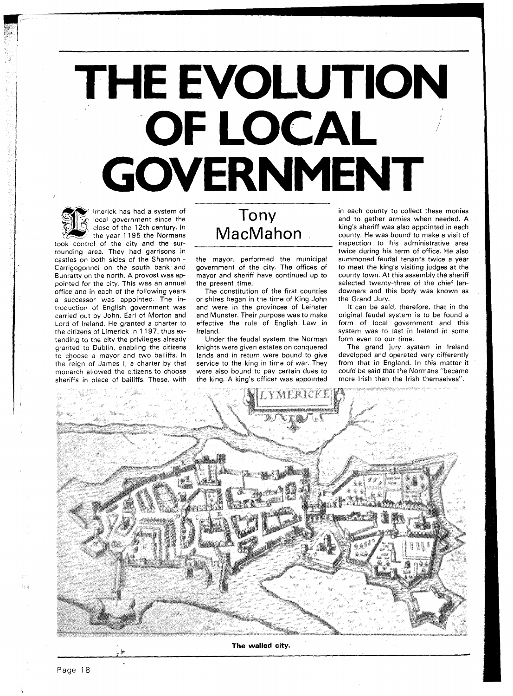## **THE EVOLUTION OF LOCAL** *<sup>I</sup>* / **GOVERNMENT**

imerick has had a system of local government since the close of the 12th century. In the year 1195 the Normans

took control of the city and the surrounding area. They had garrisons in castles on both sides of the Shannon - Carrigogonnel on the south bank and Bunratty on the north. A provost was appointed for the city. This was an annual office and in each of the following years a successor was appointed. The introduction of English government was carried out by John, Earl of Morton and Lord of Ireland. He granted a charter to the citizens of Limerick in 1 197, thus extending to the city the privileges already granted to Dublin, enabling the citizens to choose a mayor and two bailiffs. In the reign of James I, a charter by that monarch allowed the citizens to choose sheriffs in place of bailiffs. These, with

## Tony MacMahon

the mayor, performed the municipal government of the city. The offices of mayor and sheriff have continued up to the present time.

The constitution of the first counties or shires began in the time of King John and were in the provinces of Leinster and Munster. Their purpose was to make effective the rule of English Law in Ireland.

Under the feudal system the Norman knights were given estates on conquered lands and in return were bound to give service to the king in time of war. They were also bound to pay certain dues to the king. A king's officer was appointed

in each county to collect these monies and to gather armies when needed. A king's sheriff was also appointed in each county. He was bound to make a visit of inspection to his administrative area twice during his term of office. He also summoned feudal tenants twice a year to meet the king's visiting judges at the county town. At this assembly the sheriff selected twenty-three of the chief landowners and this body was known as the Grand Jury.

It can be said, therefore, that in the original feudal system is to be found a form of local government and this system was to last in Ireland in some form even to our time.

The grand jury system in lreland developed and operated very differently from that in England. In this matter it could be said that the Normans "became more lrish than the lrish themselves".



**The walled city.** 

**2 ti** 

75 ji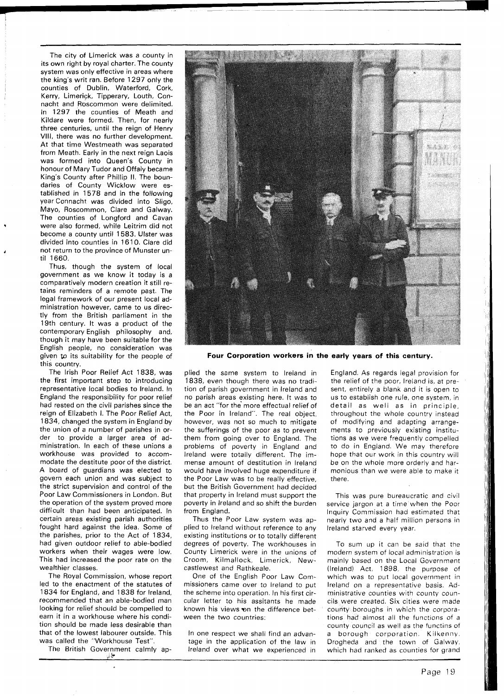The city of Limerick was a county in its own right by royal charter. The county system was only effective in areas where the king's writ ran. Before 1297 only the counties of Dublin, Waterford, Cork, Kerry, Limerick, Tipperary, Louth, Connacht and Roscommon were delimited. In 1297 the counties of Meath and Kildare were formed. Then, for nearly three centuries, until the reign of Henry VIII, there was no further development. At that time Westmeath was separated from Meath. Early in the next reign Laois was formed into Queen's County in honour of Mary Tudor and Offaly became King's County after Phillip II. The boundaries of County Wicklow were established in 1578 and in the following year Connacht was divided into Sligo, Mayo, Roscommon, Clare and Galway. The counties of Longford and Cavan were also formed, while Leitrim did not become a county until 1583. Ulster was divided into counties in 1610. Clare did not return to the province of Munster until **1660.** 

Thus, though the system of local government as we know it today is a comparatively modern creation it still retains reminders of a remote past. The legal framework of our present local administration however, came to us directly from the British parliament in the 19th century. It was a product of the contemporary English philosophy and, though it may have been suitable for the English people, no consideration was given to its suitability for the people of this country.

The Irish Poor Relief Act 1838, was the first important step to introducing representative local bodies to Ireland. In England the responsibility for poor relief had rested on the civil parishes since the reign of Elizabeth I. The Poor Relief Act, 1834, changed the system in England by the union of a number of parishes in order to provide a larger area of administration. In each of these unions a workhouse was provided to accommodate the destitute poor of the district. A board of guardians was elected to govern each union and was subject to the strict supervision and control of the Poor Law Commissioners in London. But the operation of the system proved more difficult than had been anticipated. In certain areas existing parish authorities fought hard against the idea. Some of the parishes, prior to the Act of 1834, had given outdoor relief to able-bodied workers when their wages were low. This had increased the poor rate on the wealthier classes.

The Royal Commission, whose report led to the enactment of the statutes of 1834 for England, and 1838 for Ireland, recommended that an able-bodied man looking for relief should be compelled to earn it in a workhouse where his condition should be made less desirable than that of the lowest labourer outside. This was called the "Workhouse Test".

The British Government calmly ap-فلأل



**Four Corporation workers in the early years of this century.** 

plied the same system to lreland in 1838, even though there was no tradition of parish government in lreland and no parish areas existing here. It was to be an act "for the more effectual relief of the Poor in Ireland". The real object, however, was not so much to mitigate the sufferings of the poor as to prevent them from going over to England. The problems of poverty in England and lreland were totally different. The immense amount of destitution in lreland would have involved huge expenditure if the Poor Law was to be really effective, but the British Government had decided that property in lreland must support the poverty in lreland and so shift the burden from England.

Thus the Poor Law system was applied to lreland without reference to any existing institutions or to totally different degrees of poverty. The workhouses in County Limerick were in the unions of Croom, Kilmallock, Limerick, Newcastlewest and Rathkeale.

One of the English Poor Law Commissioners came over to lreland to put the scheme into operation. In his first circular letter to his assitants he made known his views on the difference between the two countries:

In one respect we shall find an advantage in the application of the law in lreland over what we experienced in

England. As regards legal provision for the relief of the poor, lreland is, at present, entirely a blank and it is open to us to establish one rule, one system, in detail as well as in principle, throughout the whole country instead of modifying and adapting arrangements to previously existing institutions as we were frequently compelled to do in England. We may therefore hope that our work in this country will be on the whole more orderly and harmonious than we were able to make it there.

This was pure bureaucratic and civil service jargon at a time when the Poor Inquiry Commission had estimated that nearly two and a half million persons in lreland starved every year.

To sum up it can be said that the modern system of local administration is mamly based on the Local Government (Ireland) Act, 1898, the purpose of which was to put local government in Ireland on a representative basis. Administrative counties with county councils were created. Six cities were made county boroughs in which the corporations had almost all the functions of a county council as well as the functins of a borough corporation. Kilkenny. Drogheda and the town of Galway, which had ranked as counties for grand